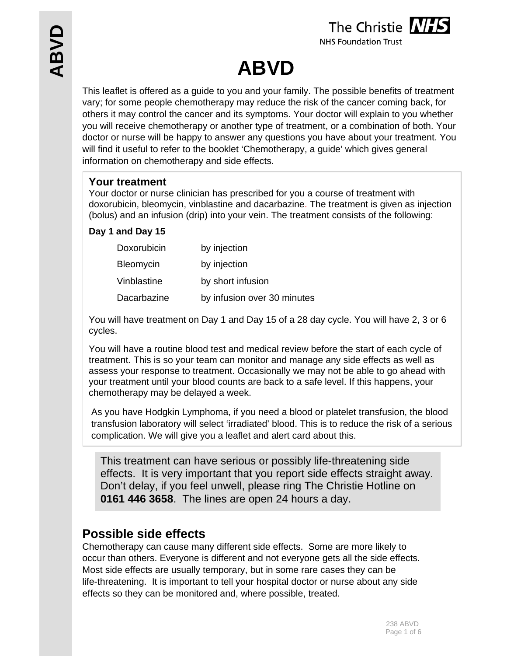

**NHS Foundation Trust** 

# **ABVD**

This leaflet is offered as a guide to you and your family. The possible benefits of treatment vary; for some people chemotherapy may reduce the risk of the cancer coming back, for others it may control the cancer and its symptoms. Your doctor will explain to you whether you will receive chemotherapy or another type of treatment, or a combination of both. Your doctor or nurse will be happy to answer any questions you have about your treatment. You will find it useful to refer to the booklet 'Chemotherapy, a guide' which gives general information on chemotherapy and side effects.

## **Your treatment**

Your doctor or nurse clinician has prescribed for you a course of treatment with doxorubicin, bleomycin, vinblastine and dacarbazine. The treatment is given as injection (bolus) and an infusion (drip) into your vein. The treatment consists of the following:

## **Day 1 and Day 15**

| Doxorubicin      | by injection                |
|------------------|-----------------------------|
| <b>Bleomycin</b> | by injection                |
| Vinblastine      | by short infusion           |
| Dacarbazine      | by infusion over 30 minutes |

You will have treatment on Day 1 and Day 15 of a 28 day cycle. You will have 2, 3 or 6 cycles.

You will have a routine blood test and medical review before the start of each cycle of treatment. This is so your team can monitor and manage any side effects as well as assess your response to treatment. Occasionally we may not be able to go ahead with your treatment until your blood counts are back to a safe level. If this happens, your chemotherapy may be delayed a week.

As you have Hodgkin Lymphoma, if you need a blood or platelet transfusion, the blood transfusion laboratory will select 'irradiated' blood. This is to reduce the risk of a serious complication. We will give you a leaflet and alert card about this.

This treatment can have serious or possibly life-threatening side effects. It is very important that you report side effects straight away. Don't delay, if you feel unwell, please ring The Christie Hotline on **0161 446 3658**. The lines are open 24 hours a day.

# **Possible side effects**

Chemotherapy can cause many different side effects. Some are more likely to occur than others. Everyone is different and not everyone gets all the side effects. Most side effects are usually temporary, but in some rare cases they can be life-threatening. It is important to tell your hospital doctor or nurse about any side effects so they can be monitored and, where possible, treated.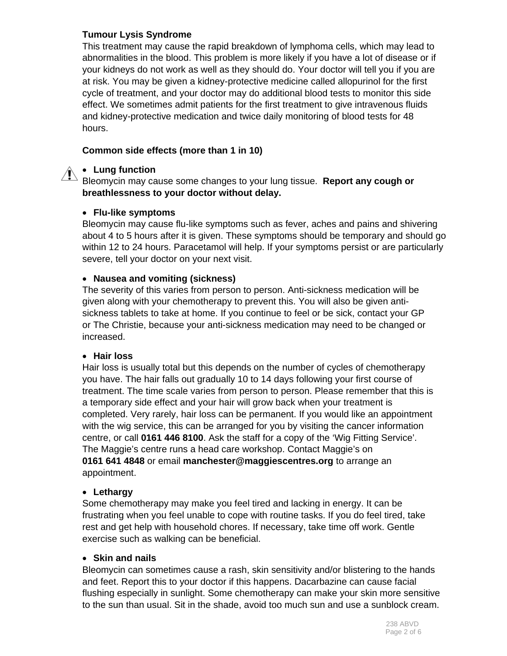#### **Tumour Lysis Syndrome**

This treatment may cause the rapid breakdown of lymphoma cells, which may lead to abnormalities in the blood. This problem is more likely if you have a lot of disease or if your kidneys do not work as well as they should do. Your doctor will tell you if you are at risk. You may be given a kidney-protective medicine called allopurinol for the first cycle of treatment, and your doctor may do additional blood tests to monitor this side effect. We sometimes admit patients for the first treatment to give intravenous fluids and kidney-protective medication and twice daily monitoring of blood tests for 48 hours.

#### **Common side effects (more than 1 in 10)**

### **Lung function**

Bleomycin may cause some changes to your lung tissue. **Report any cough or breathlessness to your doctor without delay.** 

#### **Flu-like symptoms**

Bleomycin may cause flu-like symptoms such as fever, aches and pains and shivering about 4 to 5 hours after it is given. These symptoms should be temporary and should go within 12 to 24 hours. Paracetamol will help. If your symptoms persist or are particularly severe, tell your doctor on your next visit.

#### **Nausea and vomiting (sickness)**

The severity of this varies from person to person. Anti-sickness medication will be given along with your chemotherapy to prevent this. You will also be given antisickness tablets to take at home. If you continue to feel or be sick, contact your GP or The Christie, because your anti-sickness medication may need to be changed or increased.

#### **Hair loss**

Hair loss is usually total but this depends on the number of cycles of chemotherapy you have. The hair falls out gradually 10 to 14 days following your first course of treatment. The time scale varies from person to person. Please remember that this is a temporary side effect and your hair will grow back when your treatment is completed. Very rarely, hair loss can be permanent. If you would like an appointment with the wig service, this can be arranged for you by visiting the cancer information centre, or call **0161 446 8100**. Ask the staff for a copy of the 'Wig Fitting Service'. The Maggie's centre runs a head care workshop. Contact Maggie's on **0161 641 4848** or email **manchester@maggiescentres.org** to arrange an appointment.

#### **Lethargy**

Some chemotherapy may make you feel tired and lacking in energy. It can be frustrating when you feel unable to cope with routine tasks. If you do feel tired, take rest and get help with household chores. If necessary, take time off work. Gentle exercise such as walking can be beneficial.

#### **Skin and nails**

Bleomycin can sometimes cause a rash, skin sensitivity and/or blistering to the hands and feet. Report this to your doctor if this happens. Dacarbazine can cause facial flushing especially in sunlight. Some chemotherapy can make your skin more sensitive to the sun than usual. Sit in the shade, avoid too much sun and use a sunblock cream.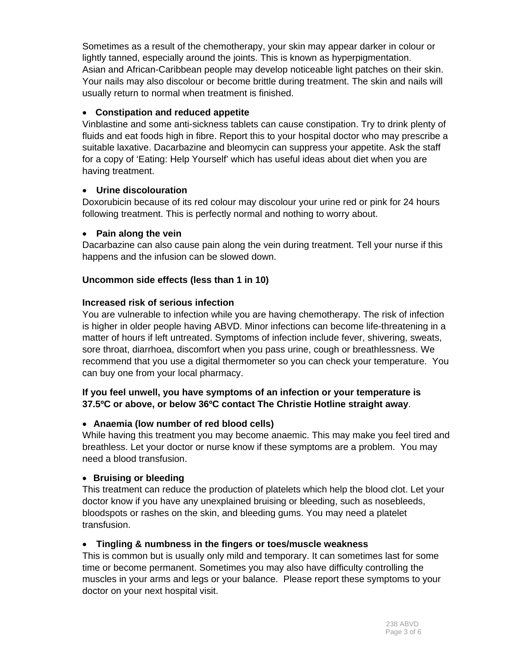Sometimes as a result of the chemotherapy, your skin may appear darker in colour or lightly tanned, especially around the joints. This is known as hyperpigmentation. Asian and African-Caribbean people may develop noticeable light patches on their skin. Your nails may also discolour or become brittle during treatment. The skin and nails will usually return to normal when treatment is finished.

#### **Constipation and reduced appetite**

Vinblastine and some anti-sickness tablets can cause constipation. Try to drink plenty of fluids and eat foods high in fibre. Report this to your hospital doctor who may prescribe a suitable laxative. Dacarbazine and bleomycin can suppress your appetite. Ask the staff for a copy of 'Eating: Help Yourself' which has useful ideas about diet when you are having treatment.

#### **Urine discolouration**

Doxorubicin because of its red colour may discolour your urine red or pink for 24 hours following treatment. This is perfectly normal and nothing to worry about.

#### **Pain along the vein**

Dacarbazine can also cause pain along the vein during treatment. Tell your nurse if this happens and the infusion can be slowed down.

#### **Uncommon side effects (less than 1 in 10)**

#### **Increased risk of serious infection**

You are vulnerable to infection while you are having chemotherapy. The risk of infection is higher in older people having ABVD. Minor infections can become life-threatening in a matter of hours if left untreated. Symptoms of infection include fever, shivering, sweats, sore throat, diarrhoea, discomfort when you pass urine, cough or breathlessness. We recommend that you use a digital thermometer so you can check your temperature. You can buy one from your local pharmacy.

#### **If you feel unwell, you have symptoms of an infection or your temperature is 37.5ºC or above, or below 36ºC contact The Christie Hotline straight away**.

#### **Anaemia (low number of red blood cells)**

While having this treatment you may become anaemic. This may make you feel tired and breathless. Let your doctor or nurse know if these symptoms are a problem. You may need a blood transfusion.

#### **Bruising or bleeding**

This treatment can reduce the production of platelets which help the blood clot. Let your doctor know if you have any unexplained bruising or bleeding, such as nosebleeds, bloodspots or rashes on the skin, and bleeding gums. You may need a platelet transfusion.

#### **Tingling & numbness in the fingers or toes/muscle weakness**

This is common but is usually only mild and temporary. It can sometimes last for some time or become permanent. Sometimes you may also have difficulty controlling the muscles in your arms and legs or your balance. Please report these symptoms to your doctor on your next hospital visit.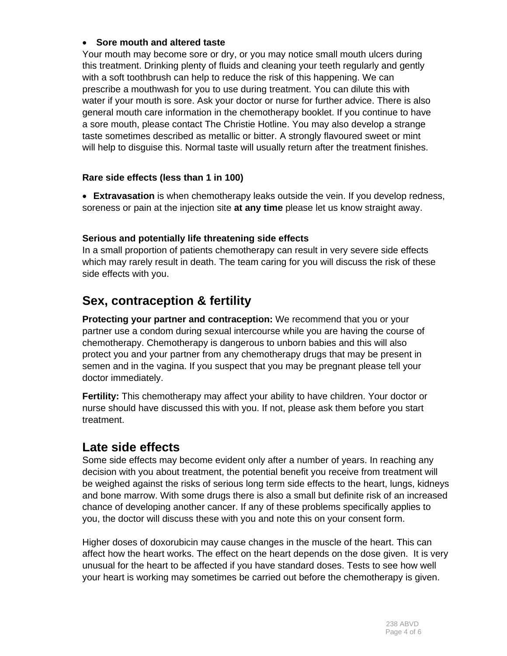#### **Sore mouth and altered taste**

Your mouth may become sore or dry, or you may notice small mouth ulcers during this treatment. Drinking plenty of fluids and cleaning your teeth regularly and gently with a soft toothbrush can help to reduce the risk of this happening. We can prescribe a mouthwash for you to use during treatment. You can dilute this with water if your mouth is sore. Ask your doctor or nurse for further advice. There is also general mouth care information in the chemotherapy booklet. If you continue to have a sore mouth, please contact The Christie Hotline. You may also develop a strange taste sometimes described as metallic or bitter. A strongly flavoured sweet or mint will help to disguise this. Normal taste will usually return after the treatment finishes.

#### **Rare side effects (less than 1 in 100)**

 **Extravasation** is when chemotherapy leaks outside the vein. If you develop redness, soreness or pain at the injection site **at any time** please let us know straight away.

#### **Serious and potentially life threatening side effects**

In a small proportion of patients chemotherapy can result in very severe side effects which may rarely result in death. The team caring for you will discuss the risk of these side effects with you.

# **Sex, contraception & fertility**

**Protecting your partner and contraception:** We recommend that you or your partner use a condom during sexual intercourse while you are having the course of chemotherapy. Chemotherapy is dangerous to unborn babies and this will also protect you and your partner from any chemotherapy drugs that may be present in semen and in the vagina. If you suspect that you may be pregnant please tell your doctor immediately.

**Fertility:** This chemotherapy may affect your ability to have children. Your doctor or nurse should have discussed this with you. If not, please ask them before you start treatment.

# **Late side effects**

Some side effects may become evident only after a number of years. In reaching any decision with you about treatment, the potential benefit you receive from treatment will be weighed against the risks of serious long term side effects to the heart, lungs, kidneys and bone marrow. With some drugs there is also a small but definite risk of an increased chance of developing another cancer. If any of these problems specifically applies to you, the doctor will discuss these with you and note this on your consent form.

Higher doses of doxorubicin may cause changes in the muscle of the heart. This can affect how the heart works. The effect on the heart depends on the dose given. It is very unusual for the heart to be affected if you have standard doses. Tests to see how well your heart is working may sometimes be carried out before the chemotherapy is given.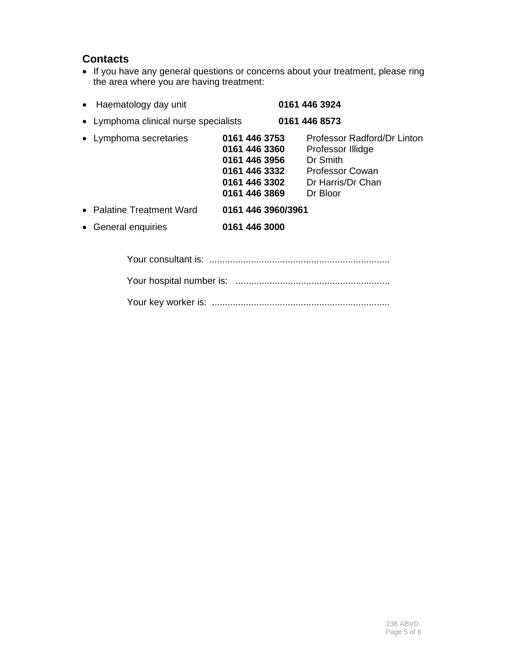# **Contacts**

• If you have any general questions or concerns about your treatment, please ring the area where you are having treatment:

| • Haematology day unit                           |                                                                                                    | 0161 446 3924                                                                                                    |  |
|--------------------------------------------------|----------------------------------------------------------------------------------------------------|------------------------------------------------------------------------------------------------------------------|--|
| • Lymphoma clinical nurse specialists            |                                                                                                    | 0161 446 8573                                                                                                    |  |
| • Lymphoma secretaries                           | 0161 446 3753<br>0161 446 3360<br>0161 446 3956<br>0161 446 3332<br>0161 446 3302<br>0161 446 3869 | Professor Radford/Dr Linton<br>Professor Illidge<br>Dr Smith<br>Professor Cowan<br>Dr Harris/Dr Chan<br>Dr Bloor |  |
| • Palatine Treatment Ward<br>• General enquiries | 0161 446 3960/3961<br>0161 446 3000                                                                |                                                                                                                  |  |